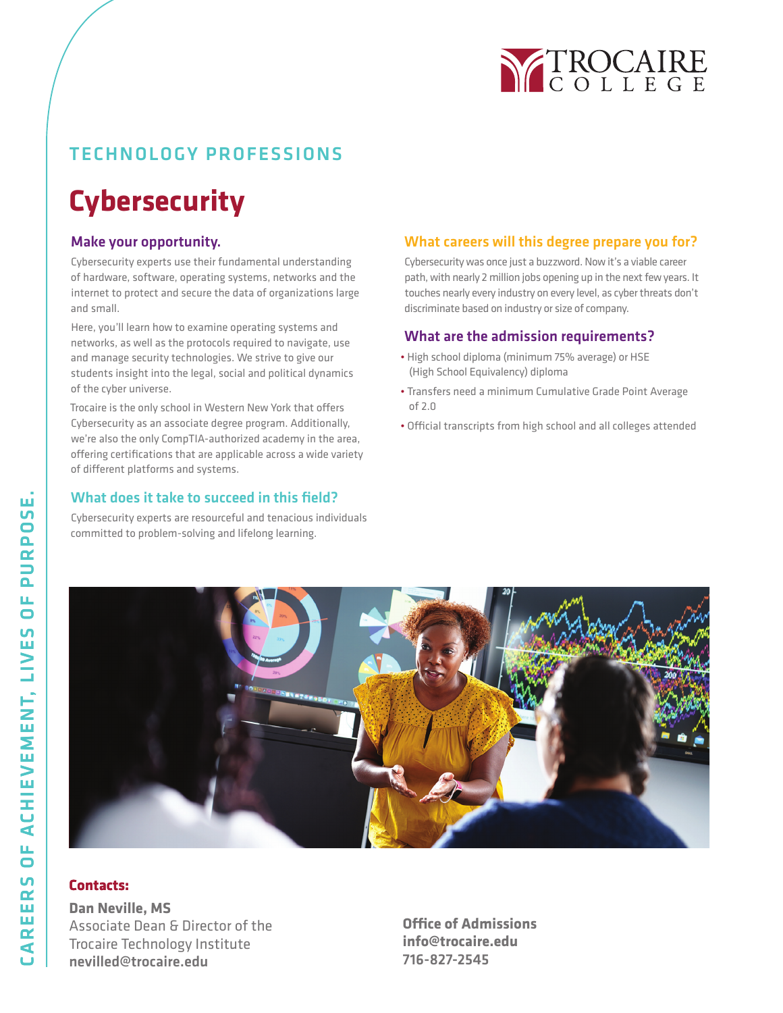

# TECHNOLOGY PROFESSIONS

# **Cybersecurity**

## Make your opportunity.

Cybersecurity experts use their fundamental understanding of hardware, software, operating systems, networks and the internet to protect and secure the data of organizations large and small.

Here, you'll learn how to examine operating systems and networks, as well as the protocols required to navigate, use and manage security technologies. We strive to give our students insight into the legal, social and political dynamics of the cyber universe.

Trocaire is the only school in Western New York that offers Cybersecurity as an associate degree program. Additionally, we're also the only CompTIA-authorized academy in the area, offering certifications that are applicable across a wide variety of different platforms and systems.

### What does it take to succeed in this field?

Cybersecurity experts are resourceful and tenacious individuals committed to problem-solving and lifelong learning.

### What careers will this degree prepare you for?

Cybersecurity was once just a buzzword. Now it's a viable career path, with nearly 2 million jobs opening up in the next few years. It touches nearly every industry on every level, as cyber threats don't discriminate based on industry or size of company.

#### What are the admission requirements?

- High school diploma (minimum 75% average) or HSE (High School Equivalency) diploma
- Transfers need a minimum Cumulative Grade Point Average of 2.0
- Official transcripts from high school and all colleges attended



### **Contacts:**

**Dan Neville, MS** Associate Dean & Director of the Trocaire Technology Institute nevilled@trocaire.edu

**Office of Admissions info@trocaire.edu** 716-827-2545